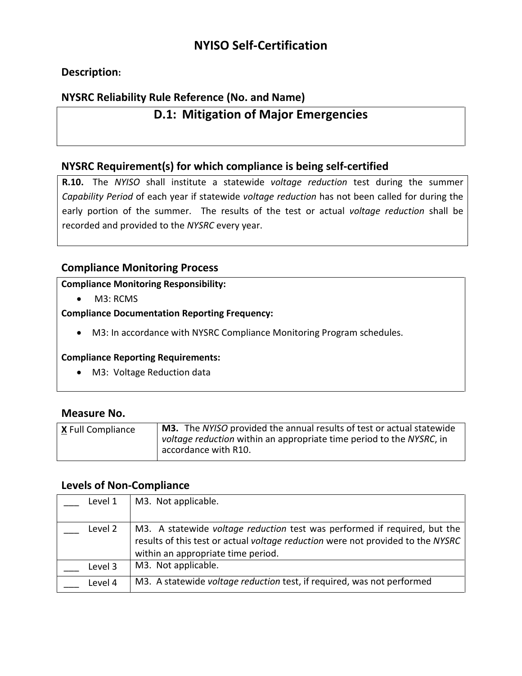# **NYISO Self-Certification**

## **Description:**

## **NYSRC Reliability Rule Reference (No. and Name)**

## **D.1: Mitigation of Major Emergencies**

### **NYSRC Requirement(s) for which compliance is being self-certified**

**R.10.** The *NYISO* shall institute a statewide *voltage reduction* test during the summer *Capability Period* of each year if statewide *voltage reduction* has not been called for during the early portion of the summer. The results of the test or actual *voltage reduction* shall be recorded and provided to the *NYSRC* every year.

### **Compliance Monitoring Process**

#### **Compliance Monitoring Responsibility:**

• M3: RCMS

**Compliance Documentation Reporting Frequency:**

• M3: In accordance with NYSRC Compliance Monitoring Program schedules.

#### **Compliance Reporting Requirements:**

• M3: Voltage Reduction data

#### **Measure No.**

| <b>X</b> Full Compliance | M3. The NYISO provided the annual results of test or actual statewide<br><i>voltage reduction</i> within an appropriate time period to the NYSRC, in<br>accordance with R10. |
|--------------------------|------------------------------------------------------------------------------------------------------------------------------------------------------------------------------|
|                          |                                                                                                                                                                              |

#### **Levels of Non-Compliance**

| Level 1 | M3. Not applicable.                                                                                                                                                                                       |
|---------|-----------------------------------------------------------------------------------------------------------------------------------------------------------------------------------------------------------|
| Level 2 | M3. A statewide <i>voltage reduction</i> test was performed if required, but the<br>results of this test or actual voltage reduction were not provided to the NYSRC<br>within an appropriate time period. |
| Level 3 | M3. Not applicable.                                                                                                                                                                                       |
| Level 4 | M3. A statewide voltage reduction test, if required, was not performed                                                                                                                                    |